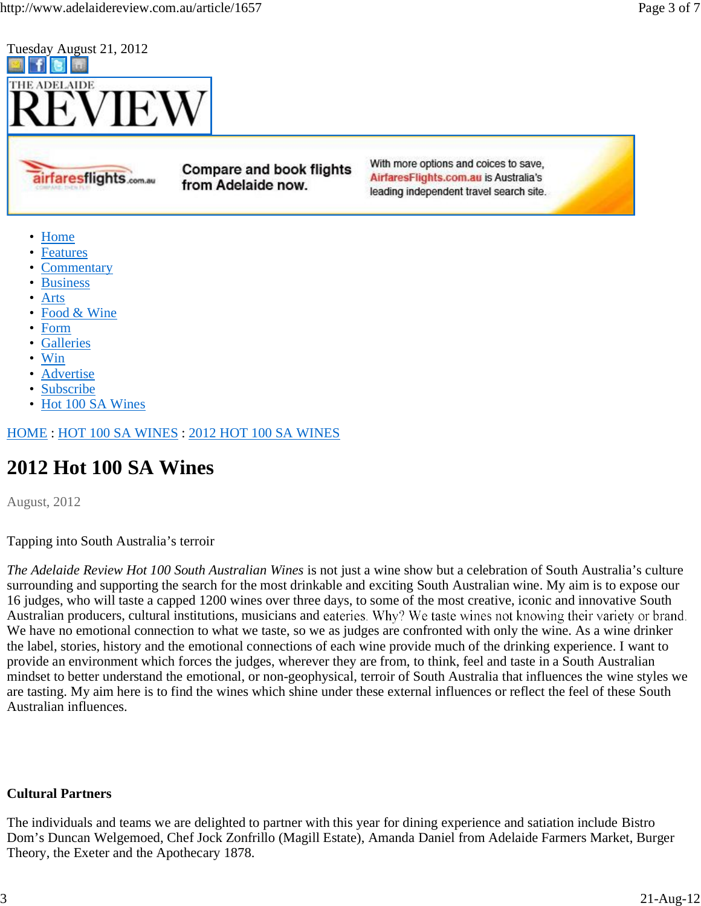

airfaresflights.com.au

**Compare and book flights** from Adelaide now.

With more options and coices to save, AirfaresFlights.com.au is Australia's leading independent travel search site.

- Home
- Features
- Commentary
- Business
- Arts
- Food & Wine
- Form
- Galleries
- Win
- **Advertise**
- Subscribe
- Hot 100 SA Wines

HOME : HOT 100 SA WINES : 2012 HOT 100 SA WINES

# **2012 Hot 100 SA Wines**

August, 2012

Tapping into South Australia's terroir

*The Adelaide Review Hot 100 South Australian Wines* is not just a wine show but a celebration of South Australia's culture surrounding and supporting the search for the most drinkable and exciting South Australian wine. My aim is to expose our 16 judges, who will taste a capped 1200 wines over three days, to some of the most creative, iconic and innovative South Australian producers, cultural institutions, musicians and eateries. Why? We taste wines not knowing their variety or brand. We have no emotional connection to what we taste, so we as judges are confronted with only the wine. As a wine drinker the label, stories, history and the emotional connections of each wine provide much of the drinking experience. I want to provide an environment which forces the judges, wherever they are from, to think, feel and taste in a South Australian mindset to better understand the emotional, or non-geophysical, terroir of South Australia that influences the wine styles we are tasting. My aim here is to find the wines which shine under these external influences or reflect the feel of these South Australian influences.

#### **Cultural Partners**

The individuals and teams we are delighted to partner with this year for dining experience and satiation include Bistro Dom's Duncan Welgemoed, Chef Jock Zonfrillo (Magill Estate), Amanda Daniel from Adelaide Farmers Market, Burger Theory, the Exeter and the Apothecary 1878.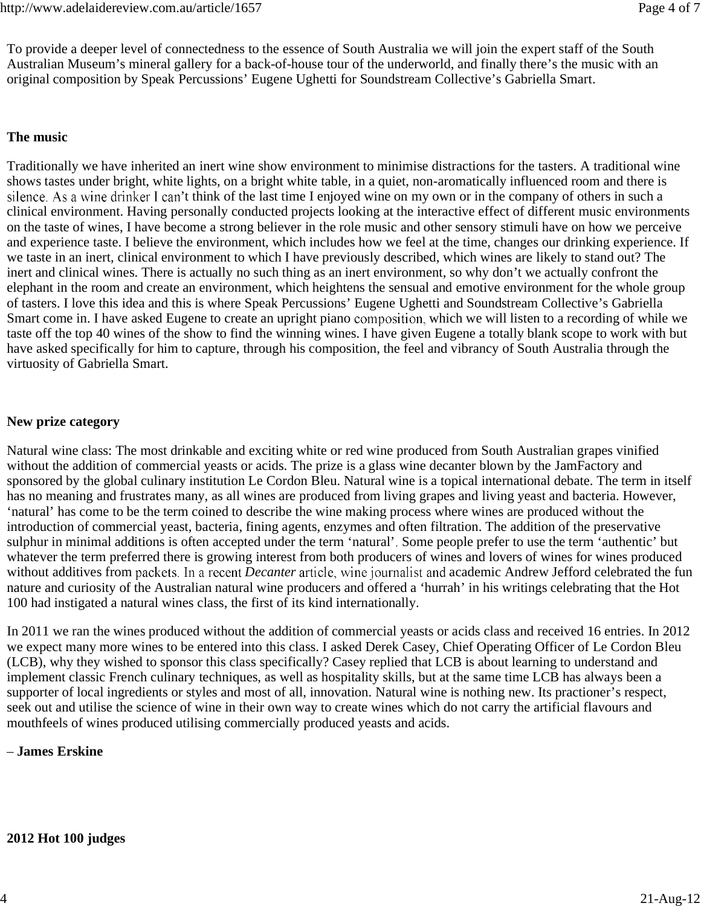To provide a deeper level of connectedness to the essence of South Australia we will join the expert staff of the South Australian Museum's mineral gallery for a back-of-house tour of the underworld, and finally there's the music with an original composition by Speak Percussions' Eugene Ughetti for Soundstream Collective's Gabriella Smart.

### **The music**

Traditionally we have inherited an inert wine show environment to minimise distractions for the tasters. A traditional wine shows tastes under bright, white lights, on a bright white table, in a quiet, non-aromatically influenced room and there is silence. As a wine drinker I can't think of the last time I enjoyed wine on my own or in the company of others in such a clinical environment. Having personally conducted projects looking at the interactive effect of different music environments on the taste of wines, I have become a strong believer in the role music and other sensory stimuli have on how we perceive and experience taste. I believe the environment, which includes how we feel at the time, changes our drinking experience. If we taste in an inert, clinical environment to which I have previously described, which wines are likely to stand out? The inert and clinical wines. There is actually no such thing as an inert environment, so why don't we actually confront the elephant in the room and create an environment, which heightens the sensual and emotive environment for the whole group of tasters. I love this idea and this is where Speak Percussions' Eugene Ughetti and Soundstream Collective's Gabriella Smart come in. I have asked Eugene to create an upright piano composition, which we will listen to a recording of while we taste off the top 40 wines of the show to find the winning wines. I have given Eugene a totally blank scope to work with but have asked specifically for him to capture, through his composition, the feel and vibrancy of South Australia through the virtuosity of Gabriella Smart.

### **New prize category**

Natural wine class: The most drinkable and exciting white or red wine produced from South Australian grapes vinified without the addition of commercial yeasts or acids. The prize is a glass wine decanter blown by the JamFactory and sponsored by the global culinary institution Le Cordon Bleu. Natural wine is a topical international debate. The term in itself has no meaning and frustrates many, as all wines are produced from living grapes and living yeast and bacteria. However, 'natural' has come to be the term coined to describe the wine making process where wines are produced without the introduction of commercial yeast, bacteria, fining agents, enzymes and often filtration. The addition of the preservative sulphur in minimal additions is often accepted under the term 'natural'. Some people prefer to use the term 'authentic' but whatever the term preferred there is growing interest from both producers of wines and lovers of wines for wines produced without additives from packets. In a recent *Decanter* article, wine journalist and academic Andrew Jefford celebrated the fun nature and curiosity of the Australian natural wine producers and offered a 'hurrah' in his writings celebrating that the Hot 100 had instigated a natural wines class, the first of its kind internationally.

In 2011 we ran the wines produced without the addition of commercial yeasts or acids class and received 16 entries. In 2012 we expect many more wines to be entered into this class. I asked Derek Casey, Chief Operating Officer of Le Cordon Bleu (LCB), why they wished to sponsor this class specifically? Casey replied that LCB is about learning to understand and implement classic French culinary techniques, as well as hospitality skills, but at the same time LCB has always been a supporter of local ingredients or styles and most of all, innovation. Natural wine is nothing new. Its practioner's respect, seek out and utilise the science of wine in their own way to create wines which do not carry the artificial flavours and mouthfeels of wines produced utilising commercially produced yeasts and acids.

## – **James Erskine**